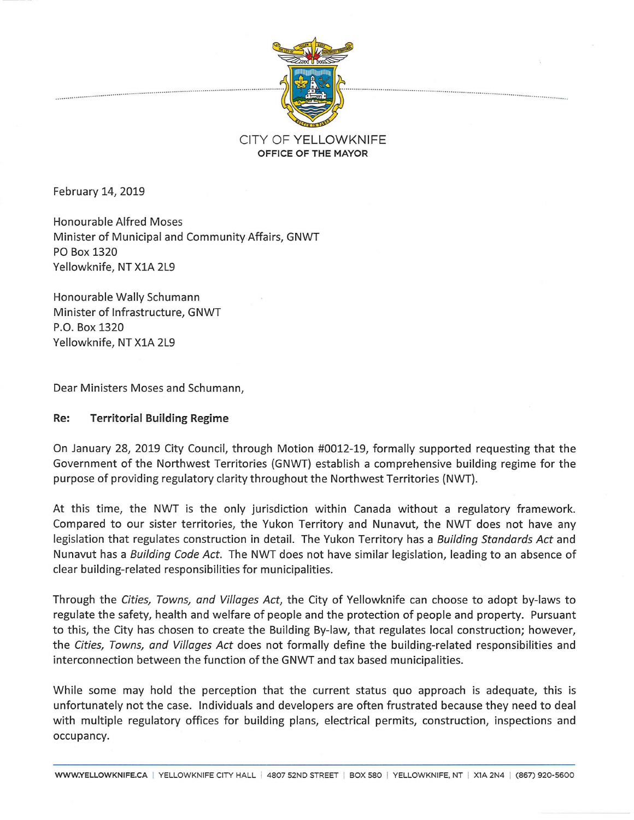

## CITY OF YELLOWKNIFE **OFFICE OF THE MAYOR**

February 14, 2019

Honourable Alfred Moses Minister of Municipal and Community Affairs, GNWT PO Box 1320 Yellowknife, NT XlA 2L9

Honourable Wally Schumann Minister of Infrastructure, GNWT P.O. Box 1320 Yellowknife, NT XlA 2L9

Dear Ministers Moses and Schumann,

## **Re: Territorial Building Regime**

On January 28, 2019 City Council, through Motion #0012-19, formally supported requesting that the Government of the Northwest Territories {GNWT) establish a comprehensive building regime for the purpose of providing regulatory clarity throughout the Northwest Territories {NWT).

At this time, the NWT is the only jurisdiction within Canada without a regulatory framework. Compared to our sister territories, the Yukon Territory and Nunavut, the NWT does not have any legislation that regulates construction in detail. The Yukon Territory has a *Building Standards Act* and Nunavut has a *Building Code Act.* The NWT does not have similar legislation, leading to an absence of clear building-related responsibilities for municipalities.

Through the *Cities, Towns, and Villages Act,* the City of Yellowknife can choose to adopt by-laws to regulate the safety, health and welfare of people and the protection of people and property. Pursuant to this, the City has chosen to create the Building By-law, that regulates local construction; however, the *Cities, Towns, and Villages Act* does not formally define the building-related responsibilities and interconnection between the function of the GNWT and tax based municipalities.

While some may hold the perception that the current status quo approach is adequate, this is unfortunately not the case. Individuals and developers are often frustrated because they need to deal with multiple regulatory offices for building plans, electrical permits, construction, inspections and occupancy.